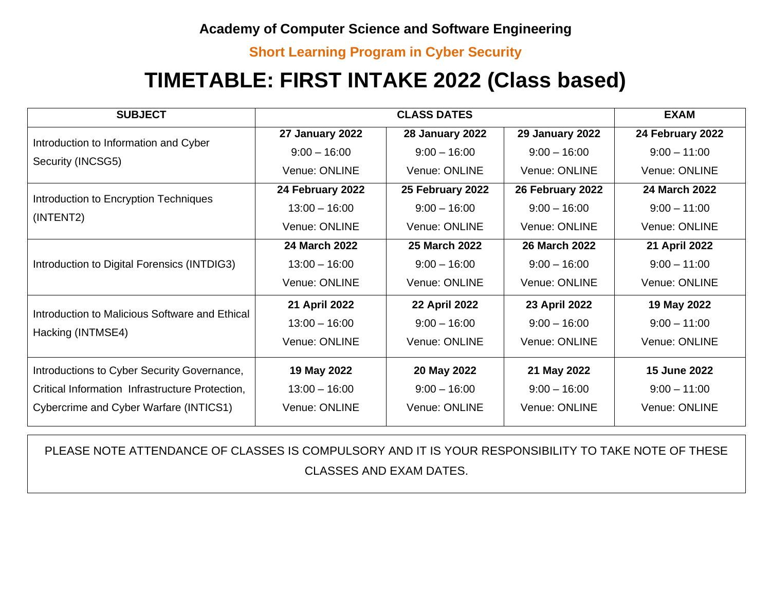#### **Short Learning Program in Cyber Security**

# **TIMETABLE: FIRST INTAKE 2022 (Class based)**

| <b>SUBJECT</b>                                                      |                  | <b>CLASS DATES</b>     |                        | <b>EXAM</b>          |
|---------------------------------------------------------------------|------------------|------------------------|------------------------|----------------------|
| Introduction to Information and Cyber<br>Security (INCSG5)          | 27 January 2022  | <b>28 January 2022</b> | <b>29 January 2022</b> | 24 February 2022     |
|                                                                     | $9:00 - 16:00$   | $9:00 - 16:00$         | $9:00 - 16:00$         | $9:00 - 11:00$       |
|                                                                     | Venue: ONLINE    | Venue: ONLINE          | Venue: ONLINE          | Venue: ONLINE        |
| Introduction to Encryption Techniques<br>(INTENT2)                  | 24 February 2022 | 25 February 2022       | 26 February 2022       | <b>24 March 2022</b> |
|                                                                     | $13:00 - 16:00$  | $9:00 - 16:00$         | $9:00 - 16:00$         | $9:00 - 11:00$       |
|                                                                     | Venue: ONLINE    | Venue: ONLINE          | Venue: ONLINE          | Venue: ONLINE        |
| Introduction to Digital Forensics (INTDIG3)                         | 24 March 2022    | 25 March 2022          | 26 March 2022          | 21 April 2022        |
|                                                                     | $13:00 - 16:00$  | $9:00 - 16:00$         | $9:00 - 16:00$         | $9:00 - 11:00$       |
|                                                                     | Venue: ONLINE    | Venue: ONLINE          | Venue: ONLINE          | Venue: ONLINE        |
| Introduction to Malicious Software and Ethical<br>Hacking (INTMSE4) | 21 April 2022    | <b>22 April 2022</b>   | 23 April 2022          | 19 May 2022          |
|                                                                     | $13:00 - 16:00$  | $9:00 - 16:00$         | $9:00 - 16:00$         | $9:00 - 11:00$       |
|                                                                     | Venue: ONLINE    | Venue: ONLINE          | Venue: ONLINE          | Venue: ONLINE        |
| Introductions to Cyber Security Governance,                         | 19 May 2022      | 20 May 2022            | 21 May 2022            | <b>15 June 2022</b>  |
| Critical Information Infrastructure Protection,                     | $13:00 - 16:00$  | $9:00 - 16:00$         | $9:00 - 16:00$         | $9:00 - 11:00$       |
| Cybercrime and Cyber Warfare (INTICS1)                              | Venue: ONLINE    | Venue: ONLINE          | Venue: ONLINE          | Venue: ONLINE        |

PLEASE NOTE ATTENDANCE OF CLASSES IS COMPULSORY AND IT IS YOUR RESPONSIBILITY TO TAKE NOTE OF THESE CLASSES AND EXAM DATES.